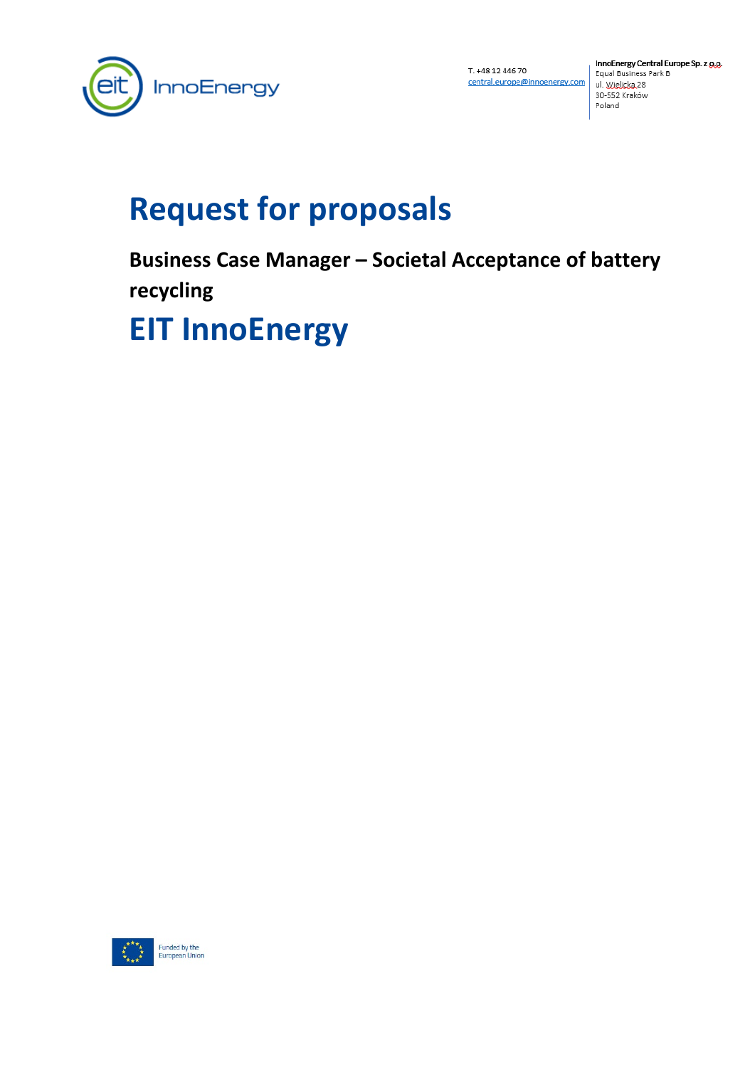

T. +48 12 446 70 central.europe@innoenergy.com

InnoEnergy Central Europe Sp. z g.g. Equal Business Park B ul. Wielicka 28 30-552 Kraków Poland

# **Request for proposals**

**Business Case Manager – Societal Acceptance of battery recycling**

# **EIT InnoEnergy**

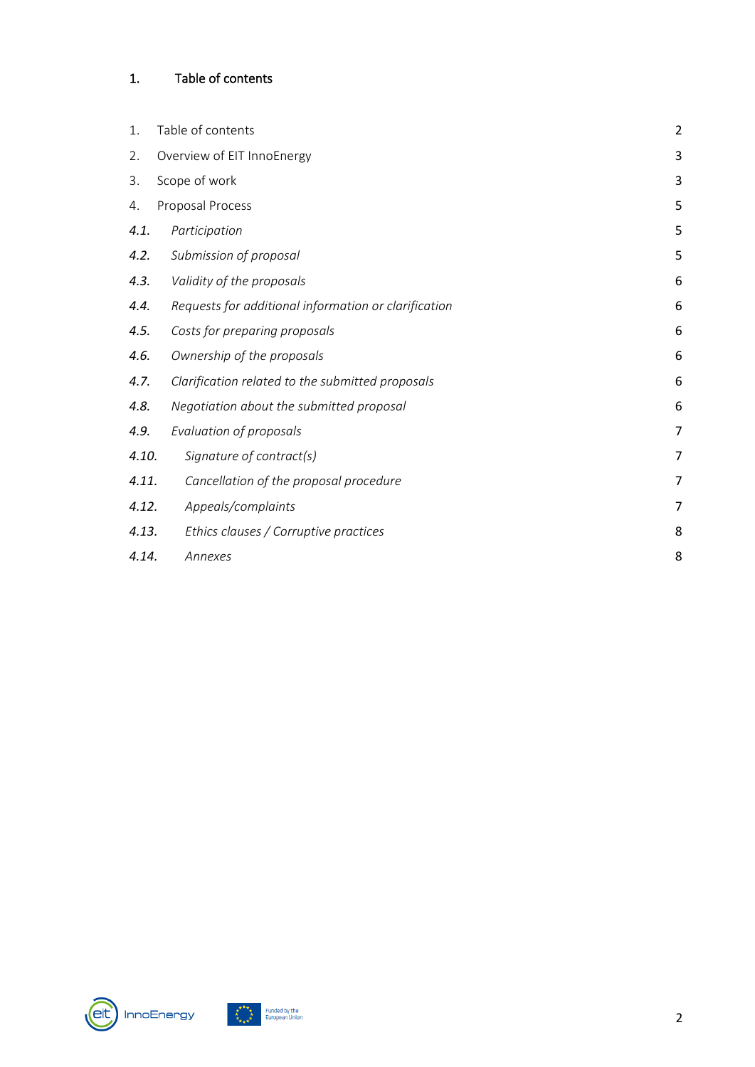# <span id="page-1-0"></span>1. Table of contents

| 1.    | Table of contents                                    | $\overline{2}$ |
|-------|------------------------------------------------------|----------------|
| 2.    | Overview of EIT InnoEnergy                           | 3              |
| 3.    | Scope of work                                        | 3              |
| 4.    | Proposal Process                                     | 5              |
| 4.1.  | Participation                                        | 5              |
| 4.2.  | Submission of proposal                               | 5              |
| 4.3.  | Validity of the proposals                            | 6              |
| 4.4.  | Requests for additional information or clarification | 6              |
| 4.5.  | Costs for preparing proposals                        | 6              |
| 4.6.  | Ownership of the proposals                           | 6              |
| 4.7.  | Clarification related to the submitted proposals     | 6              |
| 4.8.  | Negotiation about the submitted proposal             | 6              |
| 4.9.  | Evaluation of proposals                              | 7              |
| 4.10. | Signature of contract(s)                             | 7              |
| 4.11. | Cancellation of the proposal procedure               | 7              |
| 4.12. | Appeals/complaints                                   | 7              |
| 4.13. | Ethics clauses / Corruptive practices                | 8              |
| 4.14. | Annexes                                              | 8              |



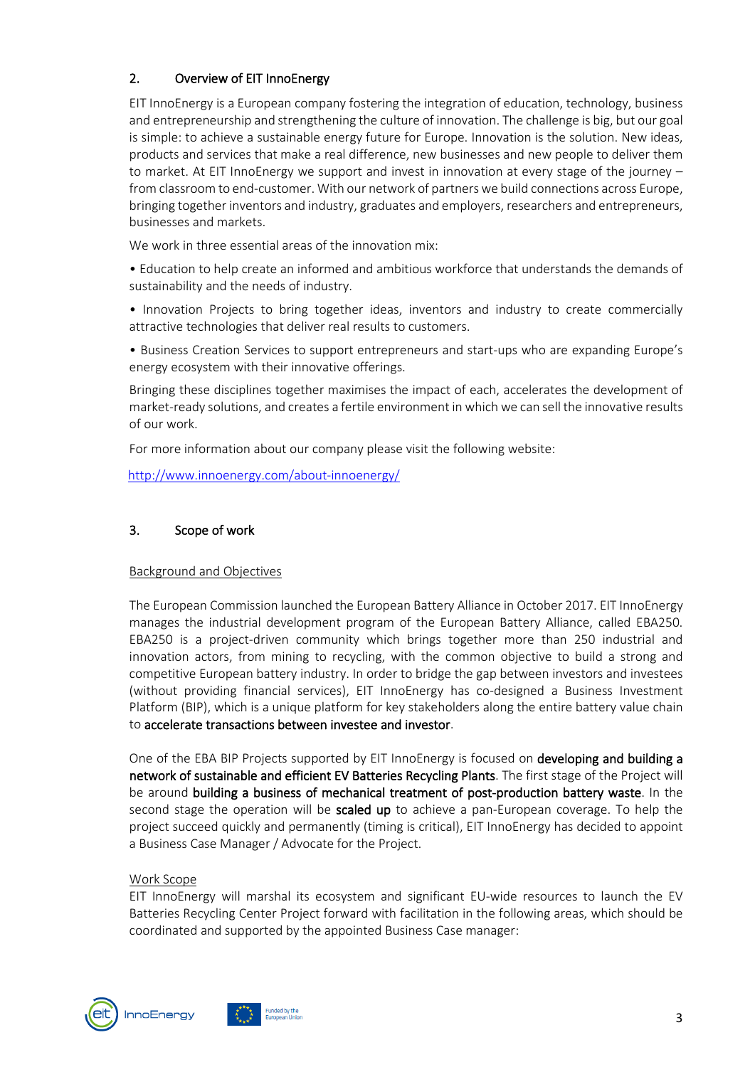# <span id="page-2-0"></span>2. Overview of EIT InnoEnergy

EIT InnoEnergy is a European company fostering the integration of education, technology, business and entrepreneurship and strengthening the culture of innovation. The challenge is big, but our goal is simple: to achieve a sustainable energy future for Europe. Innovation is the solution. New ideas, products and services that make a real difference, new businesses and new people to deliver them to market. At EIT InnoEnergy we support and invest in innovation at every stage of the journey – from classroom to end-customer. With our network of partners we build connections across Europe, bringing together inventors and industry, graduates and employers, researchers and entrepreneurs, businesses and markets.

We work in three essential areas of the innovation mix:

• Education to help create an informed and ambitious workforce that understands the demands of sustainability and the needs of industry.

• Innovation Projects to bring together ideas, inventors and industry to create commercially attractive technologies that deliver real results to customers.

• Business Creation Services to support entrepreneurs and start-ups who are expanding Europe's energy ecosystem with their innovative offerings.

Bringing these disciplines together maximises the impact of each, accelerates the development of market-ready solutions, and creates a fertile environment in which we can sell the innovative results of our work.

For more information about our company please visit the following website:

[http://www.innoenergy.com/about-innoenergy/](http://www.innoenergy.com/about-innoEnergy/)

#### <span id="page-2-1"></span>3. Scope of work

#### Background and Objectives

The European Commission launched the European Battery Alliance in October 2017. EIT InnoEnergy manages the industrial development program of the European Battery Alliance, called EBA250. EBA250 is a project-driven community which brings together more than 250 industrial and innovation actors, from mining to recycling, with the common objective to build a strong and competitive European battery industry. In order to bridge the gap between investors and investees (without providing financial services), EIT InnoEnergy has co-designed a Business Investment Platform (BIP), which is a unique platform for key stakeholders along the entire battery value chain to accelerate transactions between investee and investor.

One of the EBA BIP Projects supported by EIT InnoEnergy is focused on developing and building a network of sustainable and efficient EV Batteries Recycling Plants. The first stage of the Project will be around building a business of mechanical treatment of post-production battery waste. In the second stage the operation will be scaled up to achieve a pan-European coverage. To help the project succeed quickly and permanently (timing is critical), EIT InnoEnergy has decided to appoint a Business Case Manager / Advocate for the Project.

#### Work Scope

EIT InnoEnergy will marshal its ecosystem and significant EU-wide resources to launch the EV Batteries Recycling Center Project forward with facilitation in the following areas, which should be coordinated and supported by the appointed Business Case manager:



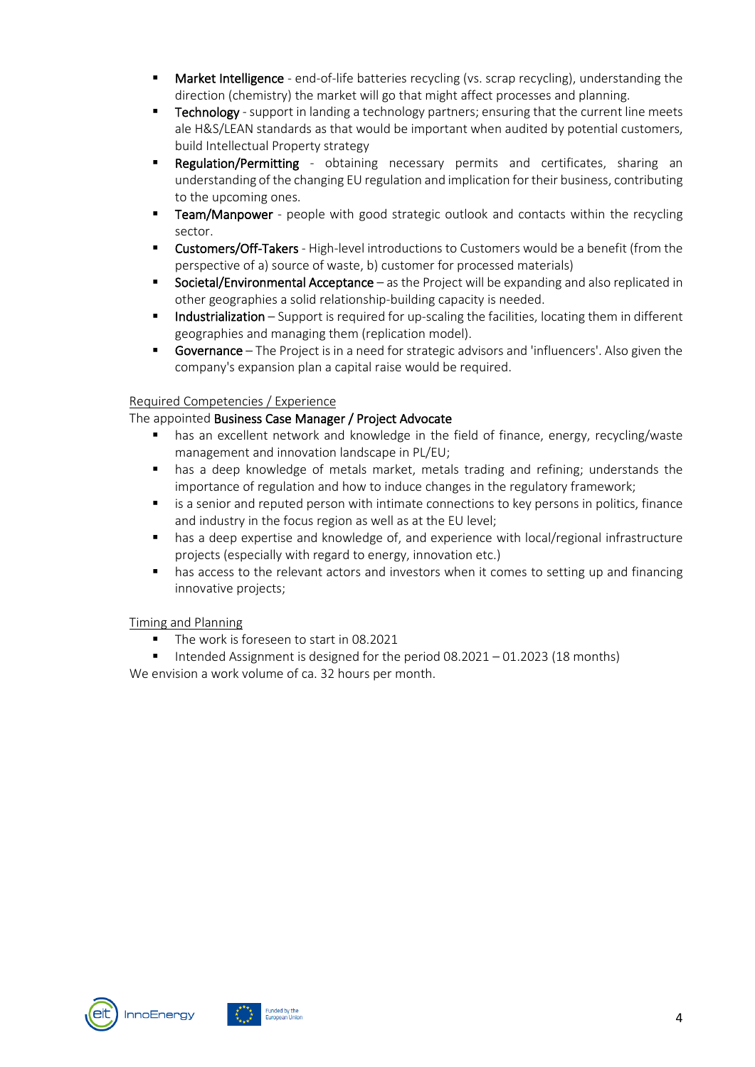- Market Intelligence end-of-life batteries recycling (vs. scrap recycling), understanding the direction (chemistry) the market will go that might affect processes and planning.
- **Technology** support in landing a technology partners; ensuring that the current line meets ale H&S/LEAN standards as that would be important when audited by potential customers, build Intellectual Property strategy
- **Regulation/Permitting** obtaining necessary permits and certificates, sharing an understanding of the changing EU regulation and implication for their business, contributing to the upcoming ones.
- **Team/Manpower** people with good strategic outlook and contacts within the recycling sector.
- Customers/Off-Takers High-level introductions to Customers would be a benefit (from the perspective of a) source of waste, b) customer for processed materials)
- Societal/Environmental Acceptance as the Project will be expanding and also replicated in other geographies a solid relationship-building capacity is needed.
- **Industrialization** Support is required for up-scaling the facilities, locating them in different geographies and managing them (replication model).
- **Governance** The Project is in a need for strategic advisors and 'influencers'. Also given the company's expansion plan a capital raise would be required.

### Required Competencies / Experience

#### The appointed Business Case Manager / Project Advocate

- has an excellent network and knowledge in the field of finance, energy, recycling/waste management and innovation landscape in PL/EU;
- has a deep knowledge of metals market, metals trading and refining; understands the importance of regulation and how to induce changes in the regulatory framework;
- is a senior and reputed person with intimate connections to key persons in politics, finance and industry in the focus region as well as at the EU level;
- **•** has a deep expertise and knowledge of, and experience with local/regional infrastructure projects (especially with regard to energy, innovation etc.)
- **has access to the relevant actors and investors when it comes to setting up and financing** innovative projects;

#### Timing and Planning

- The work is foreseen to start in 08.2021
- Intended Assignment is designed for the period  $08.2021 01.2023$  (18 months)

We envision a work volume of ca. 32 hours per month.



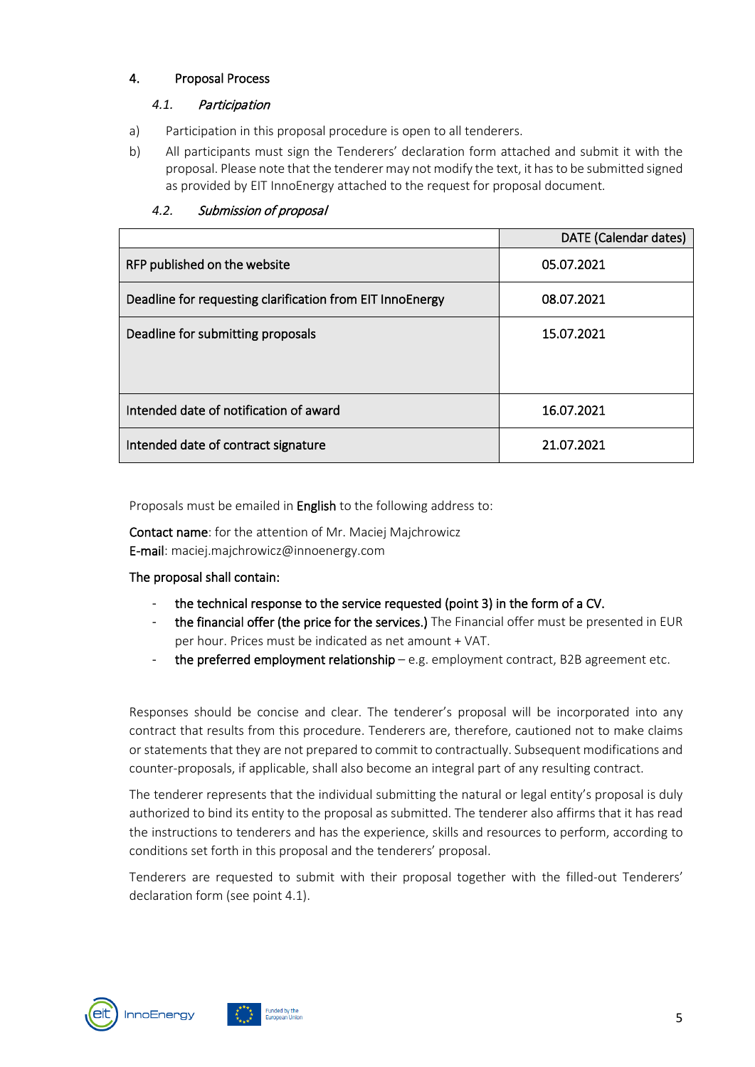#### <span id="page-4-0"></span>4. Proposal Process

#### <span id="page-4-1"></span>*4.1.* Participation

- a) Participation in this proposal procedure is open to all tenderers.
- b) All participants must sign the Tenderers' declaration form attached and submit it with the proposal. Please note that the tenderer may not modify the text, it has to be submitted signed as provided by EIT InnoEnergy attached to the request for proposal document.

|                                                           | DATE (Calendar dates) |
|-----------------------------------------------------------|-----------------------|
| RFP published on the website                              | 05.07.2021            |
| Deadline for requesting clarification from EIT InnoEnergy | 08.07.2021            |
| Deadline for submitting proposals                         | 15.07.2021            |
| Intended date of notification of award                    | 16.07.2021            |
| Intended date of contract signature                       | 21.07.2021            |

#### <span id="page-4-2"></span>*4.2.* Submission of proposal

Proposals must be emailed in **English** to the following address to:

Contact name: for the attention of Mr. Maciej Majchrowicz E-mail: maciej.majchrowicz@innoenergy.com

#### The proposal shall contain:

- the technical response to the service requested (point 3) in the form of a CV.
- the financial offer (the price for the services.) The Financial offer must be presented in EUR per hour. Prices must be indicated as net amount + VAT.
- the preferred employment relationship e.g. employment contract, B2B agreement etc.

Responses should be concise and clear. The tenderer's proposal will be incorporated into any contract that results from this procedure. Tenderers are, therefore, cautioned not to make claims or statements that they are not prepared to commit to contractually. Subsequent modifications and counter-proposals, if applicable, shall also become an integral part of any resulting contract.

The tenderer represents that the individual submitting the natural or legal entity's proposal is duly authorized to bind its entity to the proposal as submitted. The tenderer also affirms that it has read the instructions to tenderers and has the experience, skills and resources to perform, according to conditions set forth in this proposal and the tenderers' proposal.

Tenderers are requested to submit with their proposal together with the filled-out Tenderers' declaration form (see point 4.1).



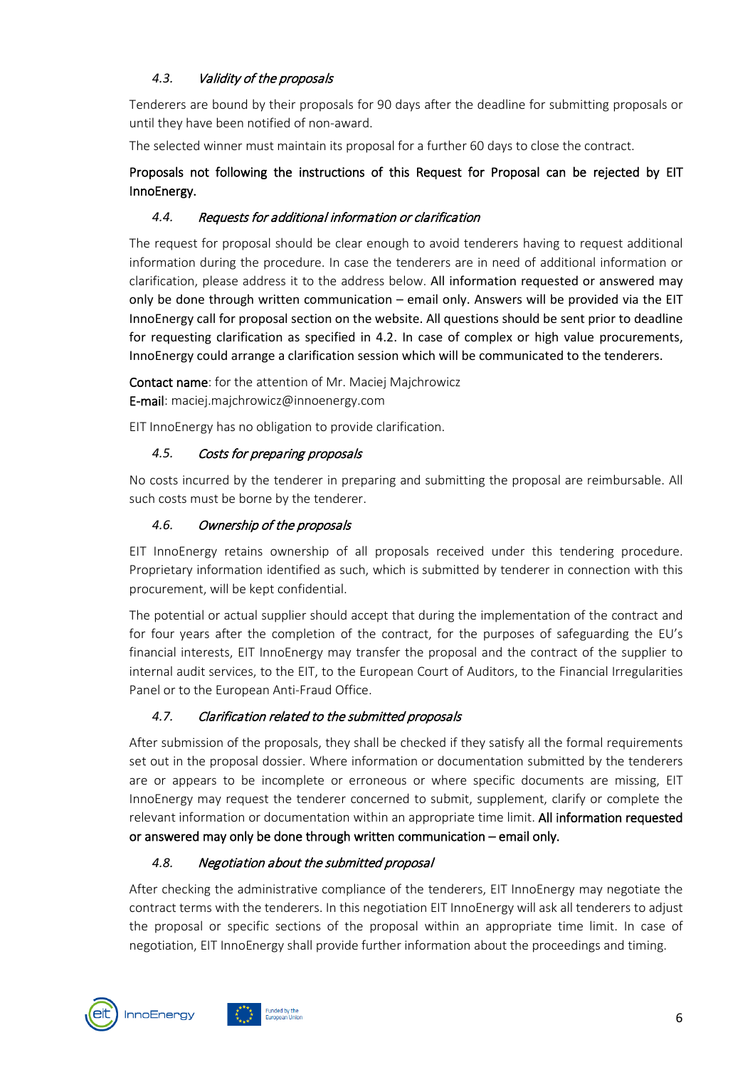# <span id="page-5-0"></span>*4.3.* Validity of the proposals

Tenderers are bound by their proposals for 90 days after the deadline for submitting proposals or until they have been notified of non-award.

The selected winner must maintain its proposal for a further 60 days to close the contract.

# Proposals not following the instructions of this Request for Proposal can be rejected by EIT InnoEnergy.

# <span id="page-5-1"></span>*4.4.* Requests for additional information or clarification

The request for proposal should be clear enough to avoid tenderers having to request additional information during the procedure. In case the tenderers are in need of additional information or clarification, please address it to the address below. All information requested or answered may only be done through written communication – email only. Answers will be provided via the EIT InnoEnergy call for proposal section on the website. All questions should be sent prior to deadline for requesting clarification as specified in 4.2. In case of complex or high value procurements, InnoEnergy could arrange a clarification session which will be communicated to the tenderers.

Contact name: for the attention of Mr. Maciej Majchrowicz E-mail: maciej.majchrowicz@innoenergy.com

EIT InnoEnergy has no obligation to provide clarification.

## <span id="page-5-2"></span>*4.5.* Costs for preparing proposals

No costs incurred by the tenderer in preparing and submitting the proposal are reimbursable. All such costs must be borne by the tenderer.

## <span id="page-5-3"></span>*4.6.* Ownership of the proposals

EIT InnoEnergy retains ownership of all proposals received under this tendering procedure. Proprietary information identified as such, which is submitted by tenderer in connection with this procurement, will be kept confidential.

The potential or actual supplier should accept that during the implementation of the contract and for four years after the completion of the contract, for the purposes of safeguarding the EU's financial interests, EIT InnoEnergy may transfer the proposal and the contract of the supplier to internal audit services, to the EIT, to the European Court of Auditors, to the Financial Irregularities Panel or to the European Anti-Fraud Office.

# <span id="page-5-4"></span>*4.7.* Clarification related to the submitted proposals

After submission of the proposals, they shall be checked if they satisfy all the formal requirements set out in the proposal dossier. Where information or documentation submitted by the tenderers are or appears to be incomplete or erroneous or where specific documents are missing, EIT InnoEnergy may request the tenderer concerned to submit, supplement, clarify or complete the relevant information or documentation within an appropriate time limit. All information requested or answered may only be done through written communication – email only.

### <span id="page-5-5"></span>*4.8.* Negotiation about the submitted proposal

After checking the administrative compliance of the tenderers, EIT InnoEnergy may negotiate the contract terms with the tenderers. In this negotiation EIT InnoEnergy will ask all tenderers to adjust the proposal or specific sections of the proposal within an appropriate time limit. In case of negotiation, EIT InnoEnergy shall provide further information about the proceedings and timing.

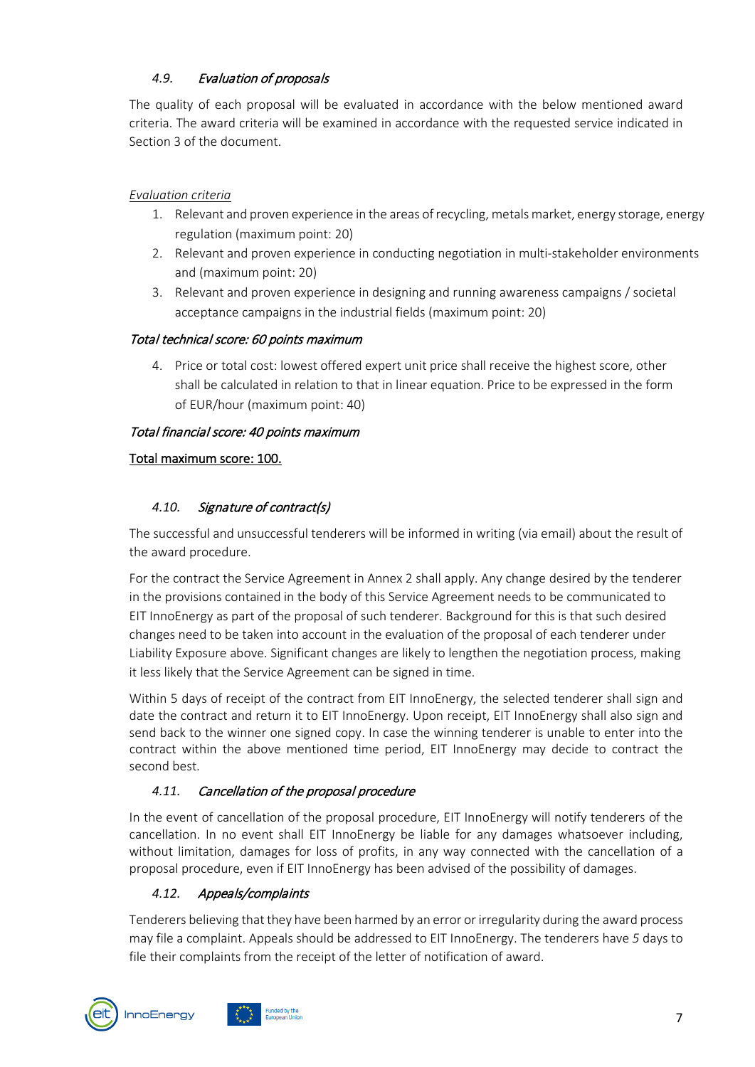# <span id="page-6-0"></span>*4.9.* Evaluation of proposals

The quality of each proposal will be evaluated in accordance with the below mentioned award criteria. The award criteria will be examined in accordance with the requested service indicated in Section 3 of the document.

## *Evaluation criteria*

- 1. Relevant and proven experience in the areas of recycling, metals market, energy storage, energy regulation (maximum point: 20)
- 2. Relevant and proven experience in conducting negotiation in multi-stakeholder environments and (maximum point: 20)
- 3. Relevant and proven experience in designing and running awareness campaigns / societal acceptance campaigns in the industrial fields (maximum point: 20)

### Total technical score: 60 points maximum

4. Price or total cost: lowest offered expert unit price shall receive the highest score, other shall be calculated in relation to that in linear equation. Price to be expressed in the form of EUR/hour (maximum point: 40)

## Total financial score: 40 points maximum

## Total maximum score: 100.

# <span id="page-6-1"></span>*4.10.* Signature of contract(s)

The successful and unsuccessful tenderers will be informed in writing (via email) about the result of the award procedure.

For the contract the Service Agreement in Annex 2 shall apply. Any change desired by the tenderer in the provisions contained in the body of this Service Agreement needs to be communicated to EIT InnoEnergy as part of the proposal of such tenderer. Background for this is that such desired changes need to be taken into account in the evaluation of the proposal of each tenderer under Liability Exposure above. Significant changes are likely to lengthen the negotiation process, making it less likely that the Service Agreement can be signed in time.

Within 5 days of receipt of the contract from EIT InnoEnergy, the selected tenderer shall sign and date the contract and return it to EIT InnoEnergy. Upon receipt, EIT InnoEnergy shall also sign and send back to the winner one signed copy. In case the winning tenderer is unable to enter into the contract within the above mentioned time period, EIT InnoEnergy may decide to contract the second best.

# <span id="page-6-2"></span>*4.11.* Cancellation of the proposal procedure

In the event of cancellation of the proposal procedure, EIT InnoEnergy will notify tenderers of the cancellation. In no event shall EIT InnoEnergy be liable for any damages whatsoever including, without limitation, damages for loss of profits, in any way connected with the cancellation of a proposal procedure, even if EIT InnoEnergy has been advised of the possibility of damages.

# <span id="page-6-3"></span>*4.12.* Appeals/complaints

Tenderers believing that they have been harmed by an error or irregularity during the award process may file a complaint. Appeals should be addressed to EIT InnoEnergy. The tenderers have *5* days to file their complaints from the receipt of the letter of notification of award.